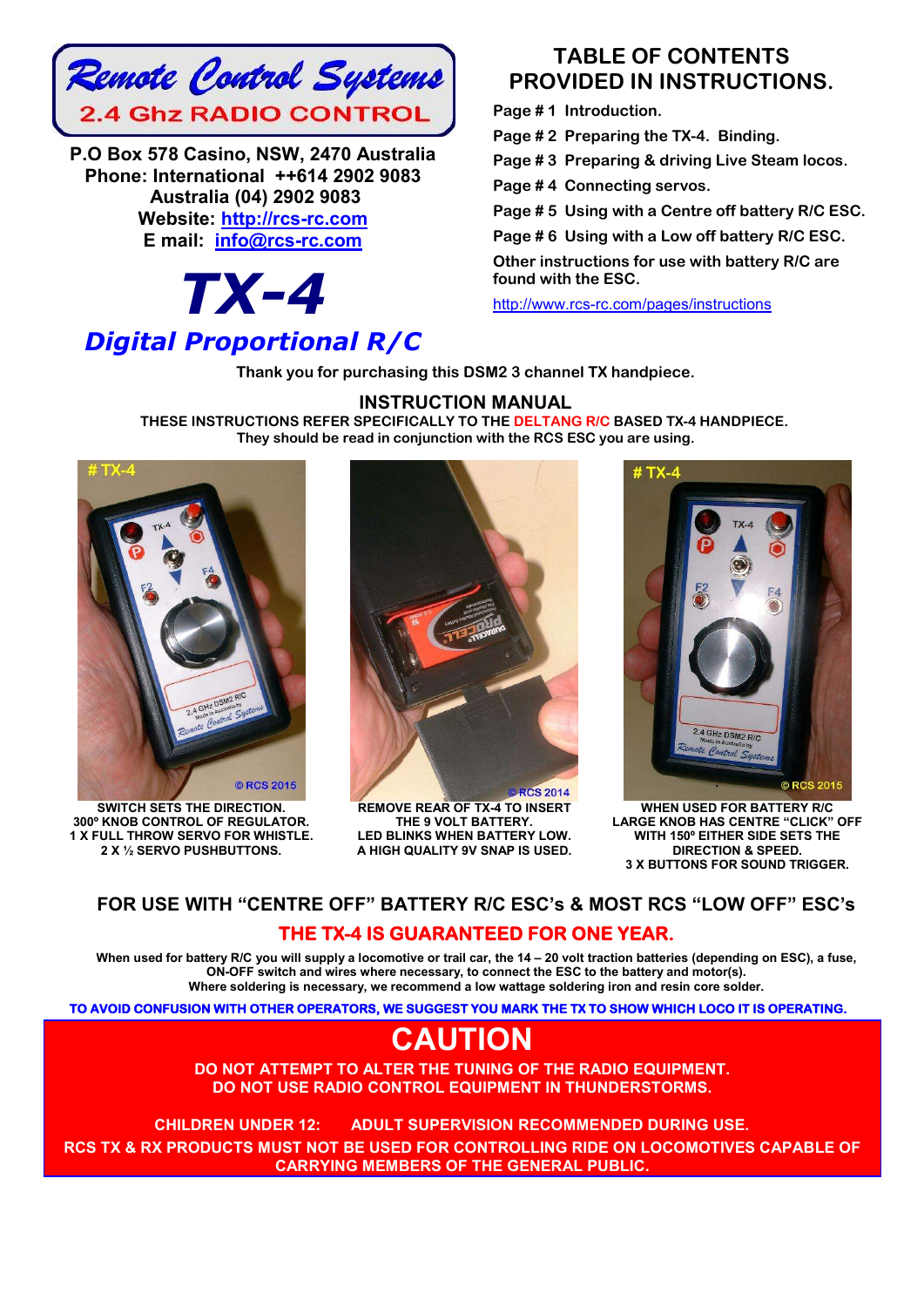

**P.O Box 578 Casino, NSW, 2470 Australia Phone: International ++614 2902 9083 Australia (04) 2902 9083 Website: http://rcs-rc.com E mail: info@rcs-rc.com**

*TX-4*

# *Digital Proportional R/C*

## **TABLE OF CONTENTS PROVIDED IN INSTRUCTIONS.**

**Page # 1 Introduction.**

**Page # 2 Preparing the TX-4. Binding.**

**Page # 3 Preparing & driving Live Steam locos.**

**Page # 4 Connecting servos.**

**Page # 5 Using with a Centre off battery R/C ESC.**

**Page # 6 Using with a Low off battery R/C ESC.**

**Other instructions for use with battery R/C are found with the ESC.**

http://www.rcs-rc.com/pages/instructions

**Thank you for purchasing this DSM2 3 channel TX handpiece.** 

#### **INSTRUCTION MANUAL**

**THESE INSTRUCTIONS REFER SPECIFICALLY TO THE DELTANG R/C BASED TX-4 HANDPIECE. They should be read in conjunction with the RCS ESC you are using.**



**SWITCH SETS THE DIRECTION. 300º KNOB CONTROL OF REGULATOR. 1 X FULL THROW SERVO FOR WHISTLE. 2 X ½ SERVO PUSHBUTTONS.**



**REMOVE REAR OF TX-4 TO INSERT THE 9 VOLT BATTERY. LED BLINKS WHEN BATTERY LOW. A HIGH QUALITY 9V SNAP IS USED.**



**WHEN USED FOR BATTERY R/C LARGE KNOB HAS CENTRE "CLICK" OFF WITH 150º EITHER SIDE SETS THE DIRECTION & SPEED. 3 X BUTTONS FOR SOUND TRIGGER.**

### **FOR USE WITH "CENTRE OFF" BATTERY R/C ESC's & MOST RCS "LOW OFF" ESC's THE TX-4 IS GUARANTEED FOR ONE YEAR.**

**When used for battery R/C you will supply a locomotive or trail car, the 14 – 20 volt traction batteries (depending on ESC), a fuse, ON-OFF switch and wires where necessary, to connect the ESC to the battery and motor(s). Where soldering is necessary, we recommend a low wattage soldering iron and resin core solder.**

**TO AVOID CONFUSION WITH OTHER OPERATORS, WE SUGGEST YOU MARK THE TX TO SHOW WHICH LOCO IT IS OPERATING.** 

# **CAUTION**

**DO NOT ATTEMPT TO ALTER THE TUNING OF THE RADIO EQUIPMENT. DO NOT USE RADIO CONTROL EQUIPMENT IN THUNDERSTORMS.**

**CHILDREN UNDER 12: ADULT SUPERVISION RECOMMENDED DURING USE.**!! **RCS TX & RX PRODUCTS MUST NOT BE USED FOR CONTROLLING RIDE ON LOCOMOTIVES CAPABLE OF CARRYING MEMBERS OF THE GENERAL PUBLIC.**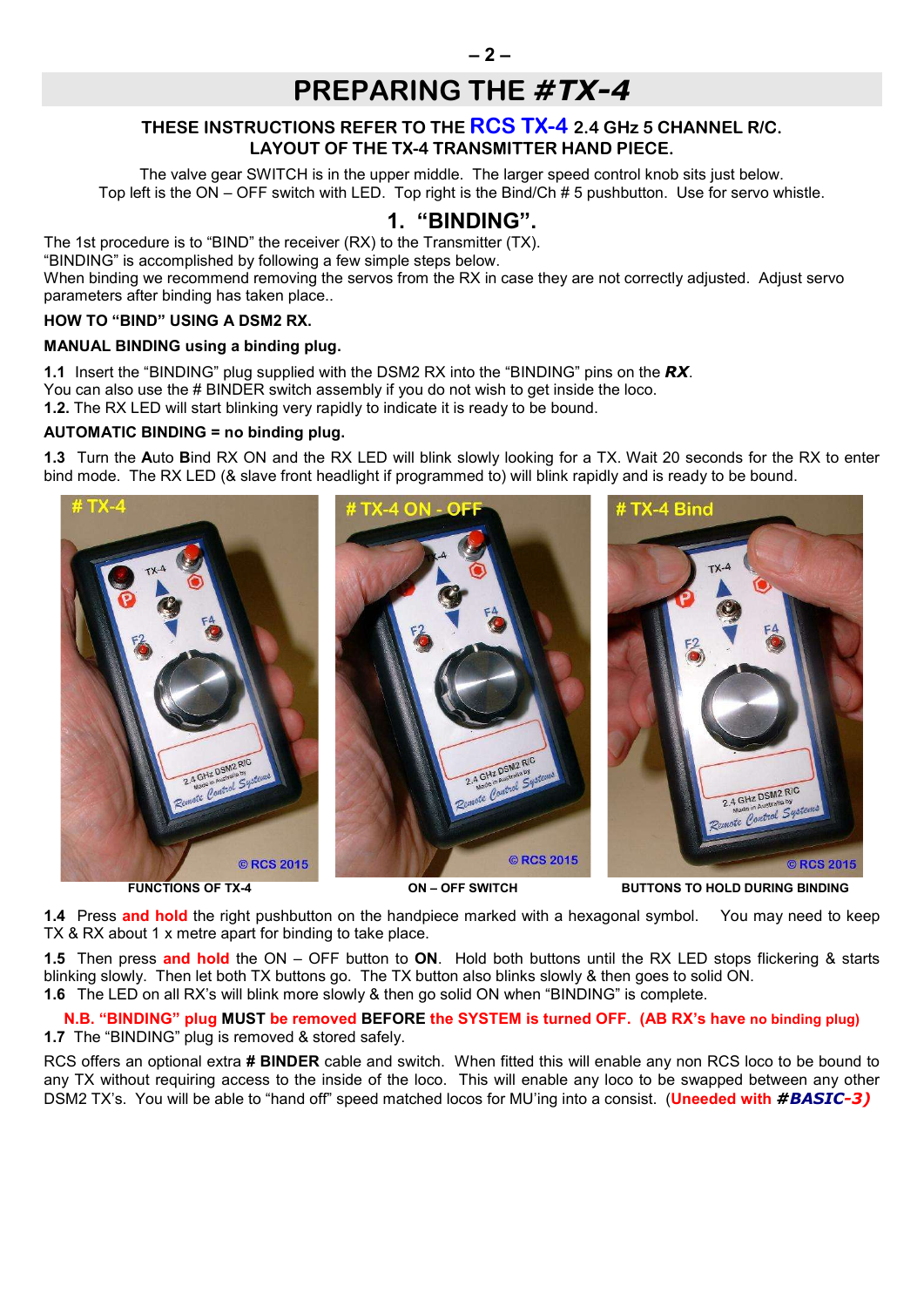# **PREPARING THE** *#TX-4*

### **THESE INSTRUCTIONS REFER TO THE RCS TX-4 2.4 GHz 5 CHANNEL R/C. LAYOUT OF THE TX-4 TRANSMITTER HAND PIECE.**

The valve gear SWITCH is in the upper middle. The larger speed control knob sits just below. Top left is the ON – OFF switch with LED. Top right is the Bind/Ch # 5 pushbutton. Use for servo whistle.

### **1. "BINDING".**

The 1st procedure is to "BIND" the receiver (RX) to the Transmitter (TX).

"BINDING" is accomplished by following a few simple steps below.

When binding we recommend removing the servos from the RX in case they are not correctly adjusted. Adjust servo parameters after binding has taken place..

#### **HOW TO "BIND" USING A DSM2 RX.**

#### **MANUAL BINDING using a binding plug.**

**1.1** Insert the "BINDING" plug supplied with the DSM2 RX into the "BINDING" pins on the *RX*. You can also use the # BINDER switch assembly if you do not wish to get inside the loco. **1.2.** The RX LED will start blinking very rapidly to indicate it is ready to be bound.

**AUTOMATIC BINDING = no binding plug.**

**1.3** Turn the **A**uto **B**ind RX ON and the RX LED will blink slowly looking for a TX. Wait 20 seconds for the RX to enter bind mode. The RX LED (& slave front headlight if programmed to) will blink rapidly and is ready to be bound.



**FUNCTIONS OF TX-4 ON – OFF SWITCH BUTTONS TO HOLD DURING BINDING**

**1.4** Press **and hold** the right pushbutton on the handpiece marked with a hexagonal symbol. You may need to keep TX & RX about 1 x metre apart for binding to take place.

**1.5** Then press **and hold** the ON – OFF button to **ON**. Hold both buttons until the RX LED stops flickering & starts blinking slowly. Then let both TX buttons go. The TX button also blinks slowly & then goes to solid ON. **1.6** The LED on all RX's will blink more slowly & then go solid ON when "BINDING" is complete.

**N.B. "BINDING" plug MUST be removed BEFORE the SYSTEM is turned OFF. (AB RX's have no binding plug) 1.7** The "BINDING" plug is removed & stored safely.

RCS offers an optional extra **# BINDER** cable and switch. When fitted this will enable any non RCS loco to be bound to any TX without requiring access to the inside of the loco. This will enable any loco to be swapped between any other DSM2 TX's. You will be able to "hand off" speed matched locos for MU'ing into a consist. (**Uneeded with** *#BASIC-3)*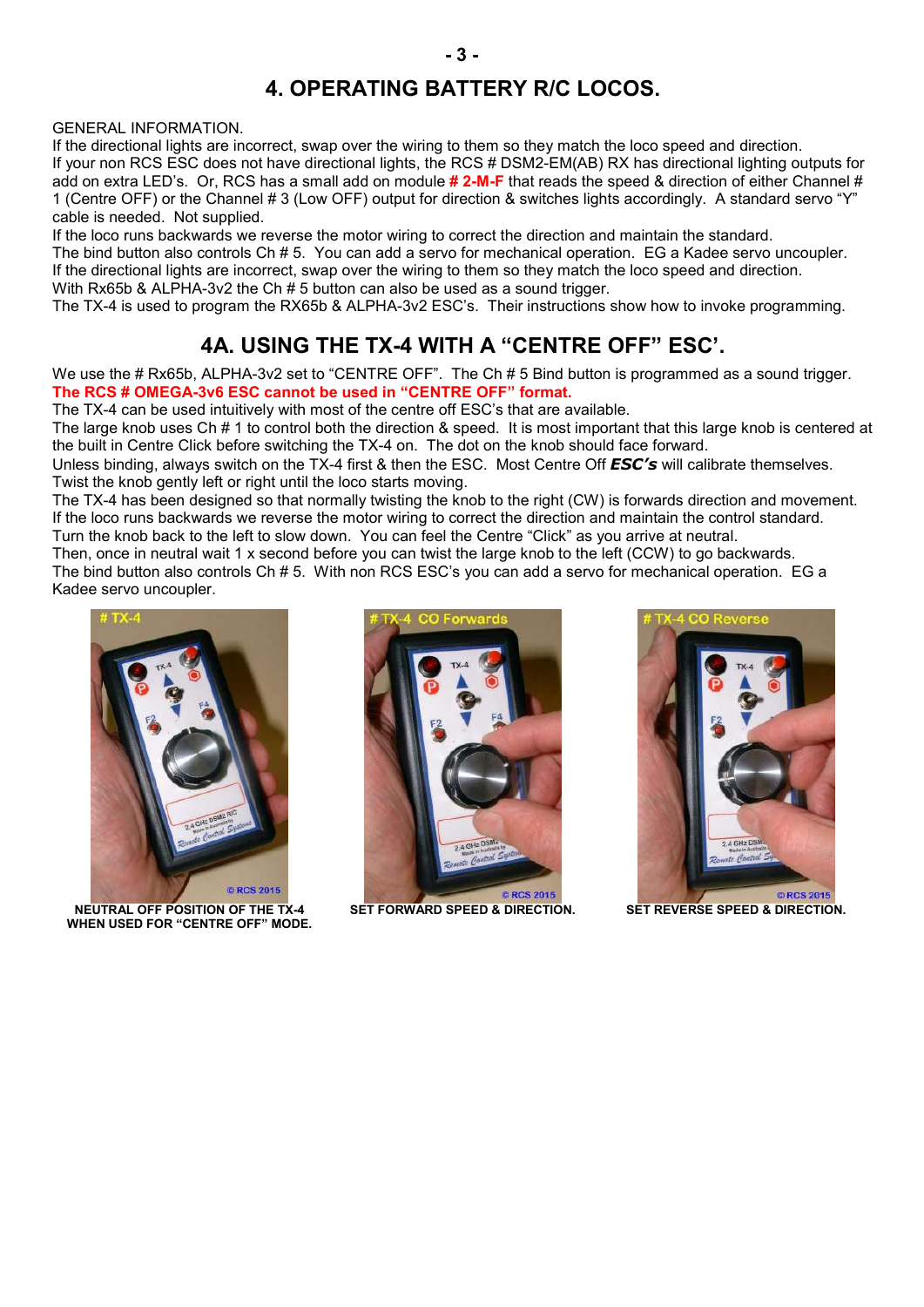## **4. OPERATING BATTERY R/C LOCOS.**

GENERAL INFORMATION.

If the directional lights are incorrect, swap over the wiring to them so they match the loco speed and direction. If your non RCS ESC does not have directional lights, the RCS # DSM2-EM(AB) RX has directional lighting outputs for add on extra LED's. Or, RCS has a small add on module **# 2-M-F** that reads the speed & direction of either Channel # 1 (Centre OFF) or the Channel # 3 (Low OFF) output for direction & switches lights accordingly. A standard servo "Y" cable is needed. Not supplied.

If the loco runs backwards we reverse the motor wiring to correct the direction and maintain the standard. The bind button also controls Ch # 5. You can add a servo for mechanical operation. EG a Kadee servo uncoupler. If the directional lights are incorrect, swap over the wiring to them so they match the loco speed and direction. With Rx65b & ALPHA-3v2 the Ch # 5 button can also be used as a sound trigger.

The TX-4 is used to program the RX65b & ALPHA-3v2 ESC's. Their instructions show how to invoke programming.

## **4A. USING THE TX-4 WITH A "CENTRE OFF" ESC'.**

We use the # Rx65b, ALPHA-3v2 set to "CENTRE OFF". The Ch # 5 Bind button is programmed as a sound trigger. **The RCS # OMEGA-3v6 ESC cannot be used in "CENTRE OFF" format.**

The TX-4 can be used intuitively with most of the centre off ESC's that are available.

The large knob uses Ch # 1 to control both the direction & speed. It is most important that this large knob is centered at the built in Centre Click before switching the TX-4 on. The dot on the knob should face forward.

Unless binding, always switch on the TX-4 first & then the ESC. Most Centre Off *ESC's* will calibrate themselves. Twist the knob gently left or right until the loco starts moving.

The TX-4 has been designed so that normally twisting the knob to the right (CW) is forwards direction and movement. If the loco runs backwards we reverse the motor wiring to correct the direction and maintain the control standard. Turn the knob back to the left to slow down. You can feel the Centre "Click" as you arrive at neutral.

Then, once in neutral wait 1 x second before you can twist the large knob to the left (CCW) to go backwards. The bind button also controls Ch # 5. With non RCS ESC's you can add a servo for mechanical operation. EG a Kadee servo uncoupler.



**NEUTRAL OFF POSITION OF THE TX-4 WHEN USED FOR "CENTRE OFF" MODE.**



**SET FORWARD SPEED & DIRECTION. SET REVERSE SPEED & DIRECTION.**